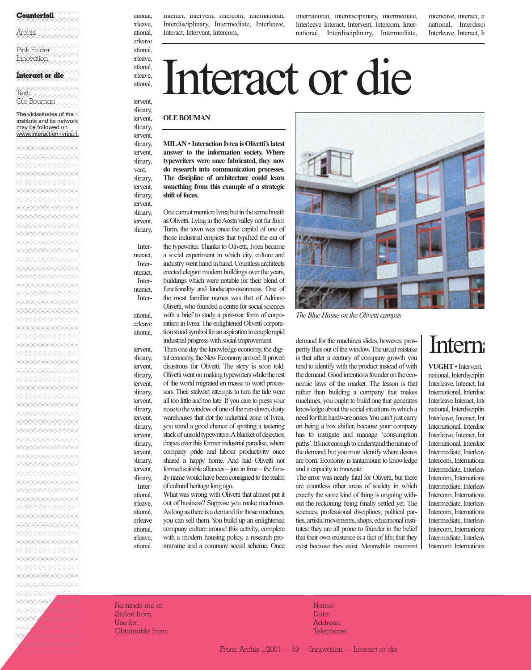**Counterfoil Counterfoil** Interact or die **Interaction** rieave, Interdisciplinary, **Ole Bouman Million Cole Bouman Cole Bouman Million** and and interview interviews when the vicissitudes of the second control of the second state of the second state of the second state of the second state of the second state of the second state of the second state of the se %%%%%%%%%%%%]%%%%%%%%%%%%]Archis %%%%%%%%%%%%]Pink Folder Innovation %%%%%%%%%%%%]%%%%%%%%%%%%] $\operatorname{Text:}$ 

The vicissitudes of the  $\sim$ <br>institute and its network Institute and its network<br>
may be followed on www.interaction-ivrea.it. ervent,

Intermediate, Interleave, Interact, Intervent, Intermediate, Interleave, Interact, disciplinary, Intermediate, Interleave, Interdisciplinary, Interact, Intervent, Intercom, International, Interdisciplinary, Intermediate, Interleave, Interact, Intervent, Intercom, International, Interdisciplinary, Intermediate, Interleave, Interact, Intervent, Intercom, International, %%%%%%%%%%%%]%%%%%%%%%%%%]%%%%%%%%%%%%]%%%%%%%%%%%%]%%%%%%%%%%%%]%%%%%%%%%%%%]%%%%%%%%%%%%]%%%%%%%%%%%%]%%%%%%%%%%%%]%%%%%%%%%%%%]%%%%%%%%%%%%]%%%%%%%%%%%%]%%%%%%%%%%%%]%%%%%%%%%%%%]%%%%%%%%%%%%]%%%%%%%%%%%%]%%%%%%%%%%%%]%%%%%%%%%%%%]%%%%%%%%%%%%]%%%%%%%%%%%%]%%%%%%%%%%%%]%%%%%%%%%%%%]%%%%%%%%%%%%]%%%%%%%%%%%%]%%%%%%%%%%%%]%%%%%%%%%%%%]%%%%%%%%%%%%]%%%%%%%%%%%%]%%%%%%%%%%%%]%%%%%%%%%%%%]%%%%%%%%%%%%]%%%%%%%%%%%%]%%%%%%%%%%%%]%%%%%%%%%%%%]%%%%%%%%%%%%]%%%%%%%%%%%%]%%%%%%%%%%%%]%%%%%%%%%%%%]%%%%%%%%%%%%]%%%%%%%%%%%%]%%%%%%%%%%%%]%%%%%%%%%%%%]%%%%%%%%%%%%]%%%%%%%%%%%%]%%%%%%%%%%%%]%%%%%%%%%%%%]%%%%%%%%%%%%]%%%%%%%%%%%%]%%%%%%%%%%%%]%%%%%%%%%%%%]%%%%%%%%%%%%]%%%%%%%%%%%%]%%%%%%%%%%%%] $% \mathcal{N} \rightarrow \mathcal{N}$ 

%%%%%%%%%%%%]%%%%%%%%%%%%]

%%%%%%%%%%%%]%%%%%%%%%%%%]

%%%%%%%%%%%%]%%%%%%%%%%%%] Interact, Intervent, Intercom, International, Interdisciplinary, Intermediate, Interleave, Interact, Intervent, Intercom,

International, Interdisciplinary, Intermediate, Interleave Interact, Intervent, Intercom, International, Interdisciplinary, Intermediate, Interleave, Interact, In national Interdisci Interleave, Interact, In

## Interact or die

**OLE BOUMAN**

rleave, ational. erleave ational. rleave. ational.

ational,

Jinary, ervent. Inary,

Jinary, ervent. Iinary, ervent. Inary, ervent, Jinary,

Internteract. Internteract. Internteract, Inter-

ational, erleave ational.

ervent.

Intermediate, Interleave, Interact, Intervent, Jinary, ervent. Jinary. Intermediate, Interleave, Interact, Intervent, Inary, Intermediate, Interleave, Interact, Intervent,  $\lim$ ary, ervent. Jinary, ervent.  $I$ inary, iervent. Jinary, Inter**MILAN** • **Interaction Ivrea is Olivetti's latest answer to the information society. Where typewriters were once fabricated, they now do research into communication processes. The discipline of architecture could learn something from this example of a strategic shift of focus.**

One cannot mention Ivrea but in the same breath as Olivetti. Lying in the Aosta valley not far from Turin, the town was once the capital of one of those industrial empires that typified the era of the typewriter. Thanks to Olivetti, Ivrea became a social experiment in which city, culture and industry went hand in hand. Countless architects erected elegant modern buildings over the years, buildings which were notable for their blend of functionality and landscape-awareness. One of the most familiar names was that of Adriano Olivetti, who founded a centre for social sciences with a brief to study a post-war form of corporatism in Ivrea. The enlightened Olivetti corporation stood symbol for an aspiration to couple rapid industrial progress with social improvement.

Iinary, Then one day the knowledge economy, the digital economy, the New Economy arrived. It proved disastrous for Olivetti. The story is soon told. Olivetti went on making typewriters while the rest of the world migrated en masse to word processors. Their stalwart attempts to turn the tide were all too little and too late. If you care to press your nose to the window of one of the run-down, dusty warehouses that dot the industrial zone of Ivrea, you stand a good chance of spotting a teetering stack of unsold typewriters. A blanket of dejection drapes over this former industrial paradise, where company pride and labour productivity once shared a happy home. And had Olivetti not formed suitable alliances – just in time – the family name would have been consigned to the realm of cultural heritage long ago.

ational, rleave, ational. erleave ational, rleave, What was wrong with Olivetti that almost put it out of business? Suppose you make machines. As long as there is a demand for those machines, you can sell them. You build up an enlightened company culture around this activity, complete with a modern housing policy, a research programme and a company social scheme. Once



*The Blue House on the Olivetti campus*

demand for the machines slides, however, prosperity flies out of the window. The usual mistake is that after a century of company growth you tend to identify with the product instead of with the demand. Good intentions founder on the economic laws of the market. The lesson is that rather than building a company that makes machines, you ought to build one that generates knowledge about the social situations in which a need for that hardware arises. You can't just carry on being a box shifter, because your company has to instigate and manage 'consumption paths'. It's not enough to understand the nature of the demand, but you must identify where desires are born. Economy is tantamount to knowledge and a capacity to innovate.

The error was nearly fatal for Olivetti, but there are countless other areas of society in which exactly the same kind of thing is ongoing without the reckoning being finally settled yet. The sciences, professional disciplines, political parties, artistic movements, shops, educational institutes: they are all prone to founder in the belief that their own existence is a fact of life; that they exist because they exist. Meanwhile, insurgent

## **Internation**

**VUGHT** • Intervent, national, Interdisciplin Interleave, Interact, Int International, Interdisc Interleave Interact, Inte national, Interdisciplin Interleave, Interact, Int International, Interdisc Interleave, Interact, Int International, Interdisc Intermediate, Interleav Intercom, International Intermediate, Interleav Intercom, Internationa Intermediate, Interleav Intercom, International Intermediate, Interleav Intercom, International Intermediate, Interleav Intercom, International Intermediate, Interleav Intercom, International

Reminds me of: Stolen from:  $Use for$ Obtainable from: Name: Date: Address: Telephone: